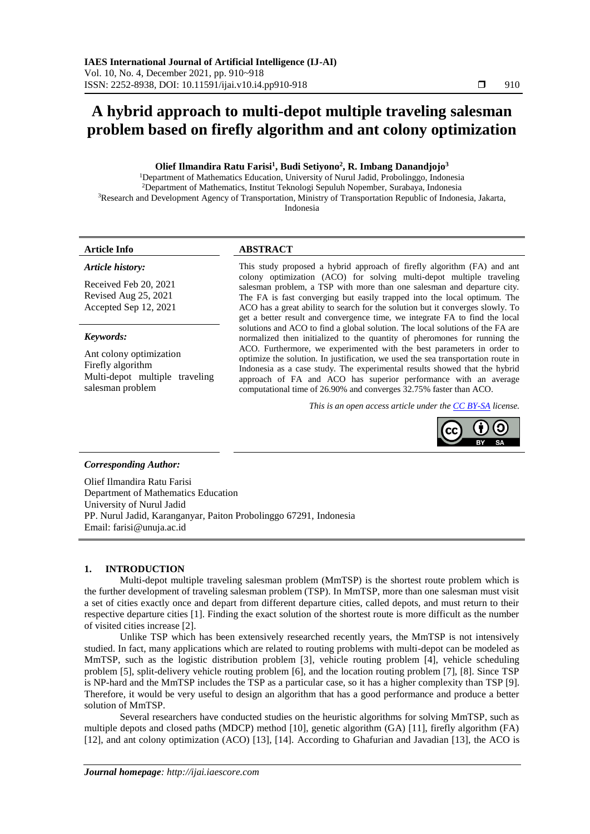# **A hybrid approach to multi-depot multiple traveling salesman problem based on firefly algorithm and ant colony optimization**

# **Olief Ilmandira Ratu Farisi<sup>1</sup> , Budi Setiyono<sup>2</sup> , R. Imbang Danandjojo<sup>3</sup>**

<sup>1</sup>Department of Mathematics Education, University of Nurul Jadid, Probolinggo, Indonesia <sup>2</sup>Department of Mathematics, Institut Teknologi Sepuluh Nopember, Surabaya, Indonesia <sup>3</sup>Research and Development Agency of Transportation, Ministry of Transportation Republic of Indonesia, Jakarta, Indonesia

# *Article history:*

Received Feb 20, 2021 Revised Aug 25, 2021 Accepted Sep 12, 2021

# *Keywords:*

Ant colony optimization Firefly algorithm Multi-depot multiple traveling salesman problem

# **Article Info ABSTRACT**

This study proposed a hybrid approach of firefly algorithm (FA) and ant colony optimization (ACO) for solving multi-depot multiple traveling salesman problem, a TSP with more than one salesman and departure city. The FA is fast converging but easily trapped into the local optimum. The ACO has a great ability to search for the solution but it converges slowly. To get a better result and convergence time, we integrate FA to find the local solutions and ACO to find a global solution. The local solutions of the FA are normalized then initialized to the quantity of pheromones for running the ACO. Furthermore, we experimented with the best parameters in order to optimize the solution. In justification, we used the sea transportation route in Indonesia as a case study. The experimental results showed that the hybrid approach of FA and ACO has superior performance with an average computational time of 26.90% and converges 32.75% faster than ACO.

*This is an open access article under th[e CC BY-SA](https://creativecommons.org/licenses/by-sa/4.0/) license.*



# *Corresponding Author:*

Olief Ilmandira Ratu Farisi Department of Mathematics Education University of Nurul Jadid PP. Nurul Jadid, Karanganyar, Paiton Probolinggo 67291, Indonesia Email: farisi@unuja.ac.id

# **1. INTRODUCTION**

Multi-depot multiple traveling salesman problem (MmTSP) is the shortest route problem which is the further development of traveling salesman problem (TSP). In MmTSP, more than one salesman must visit a set of cities exactly once and depart from different departure cities, called depots, and must return to their respective departure cities [1]. Finding the exact solution of the shortest route is more difficult as the number of visited cities increase [2].

Unlike TSP which has been extensively researched recently years, the MmTSP is not intensively studied. In fact, many applications which are related to routing problems with multi-depot can be modeled as MmTSP, such as the logistic distribution problem [3], vehicle routing problem [4], vehicle scheduling problem [5], split-delivery vehicle routing problem [6], and the location routing problem [7], [8]. Since TSP is NP-hard and the MmTSP includes the TSP as a particular case, so it has a higher complexity than TSP [9]. Therefore, it would be very useful to design an algorithm that has a good performance and produce a better solution of MmTSP.

Several researchers have conducted studies on the heuristic algorithms for solving MmTSP, such as multiple depots and closed paths (MDCP) method [10], genetic algorithm (GA) [11], firefly algorithm (FA) [12], and ant colony optimization (ACO) [13], [14]. According to Ghafurian and Javadian [13], the ACO is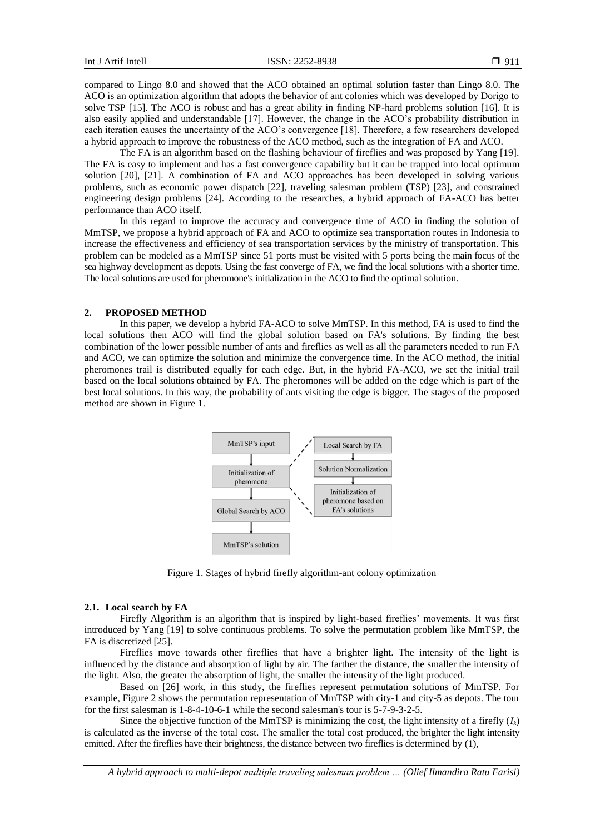compared to Lingo 8.0 and showed that the ACO obtained an optimal solution faster than Lingo 8.0. The ACO is an optimization algorithm that adopts the behavior of ant colonies which was developed by Dorigo to solve TSP [15]. The ACO is robust and has a great ability in finding NP-hard problems solution [16]. It is also easily applied and understandable [17]. However, the change in the ACO's probability distribution in each iteration causes the uncertainty of the ACO's convergence [18]. Therefore, a few researchers developed a hybrid approach to improve the robustness of the ACO method, such as the integration of FA and ACO.

The FA is an algorithm based on the flashing behaviour of fireflies and was proposed by Yang [19]. The FA is easy to implement and has a fast convergence capability but it can be trapped into local optimum solution [20], [21]. A combination of FA and ACO approaches has been developed in solving various problems, such as economic power dispatch [22], traveling salesman problem (TSP) [23], and constrained engineering design problems [24]. According to the researches, a hybrid approach of FA-ACO has better performance than ACO itself.

In this regard to improve the accuracy and convergence time of ACO in finding the solution of MmTSP, we propose a hybrid approach of FA and ACO to optimize sea transportation routes in Indonesia to increase the effectiveness and efficiency of sea transportation services by the ministry of transportation. This problem can be modeled as a MmTSP since 51 ports must be visited with 5 ports being the main focus of the sea highway development as depots. Using the fast converge of FA, we find the local solutions with a shorter time. The local solutions are used for pheromone's initialization in the ACO to find the optimal solution.

# **2. PROPOSED METHOD**

In this paper, we develop a hybrid FA-ACO to solve MmTSP. In this method, FA is used to find the local solutions then ACO will find the global solution based on FA's solutions. By finding the best combination of the lower possible number of ants and fireflies as well as all the parameters needed to run FA and ACO, we can optimize the solution and minimize the convergence time. In the ACO method, the initial pheromones trail is distributed equally for each edge. But, in the hybrid FA-ACO, we set the initial trail based on the local solutions obtained by FA. The pheromones will be added on the edge which is part of the best local solutions. In this way, the probability of ants visiting the edge is bigger. The stages of the proposed method are shown in Figure 1.



Figure 1. Stages of hybrid firefly algorithm-ant colony optimization

#### **2.1. Local search by FA**

Firefly Algorithm is an algorithm that is inspired by light-based fireflies' movements. It was first introduced by Yang [19] to solve continuous problems. To solve the permutation problem like MmTSP, the FA is discretized [25].

Fireflies move towards other fireflies that have a brighter light. The intensity of the light is influenced by the distance and absorption of light by air. The farther the distance, the smaller the intensity of the light. Also, the greater the absorption of light, the smaller the intensity of the light produced.

Based on [26] work, in this study, the fireflies represent permutation solutions of MmTSP. For example, Figure 2 shows the permutation representation of MmTSP with city-1 and city-5 as depots. The tour for the first salesman is 1-8-4-10-6-1 while the second salesman's tour is 5-7-9-3-2-5.

Since the objective function of the MmTSP is minimizing the cost, the light intensity of a firefly  $(I_k)$ is calculated as the inverse of the total cost. The smaller the total cost produced, the brighter the light intensity emitted. After the fireflies have their brightness, the distance between two fireflies is determined by (1),

*A hybrid approach to multi-depot multiple traveling salesman problem … (Olief Ilmandira Ratu Farisi)*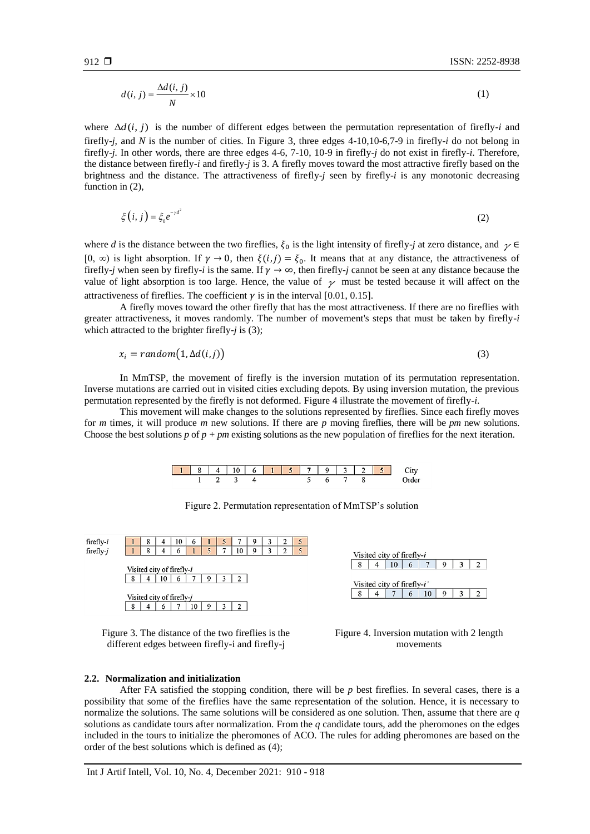$$
d(i, j) = \frac{\Delta d(i, j)}{N} \times 10\tag{1}
$$

where  $\Delta d(i, j)$  is the number of different edges between the permutation representation of firefly-*i* and firefly-*j*, and *N* is the number of cities. In Figure 3, three edges 4-10,10-6,7-9 in firefly-*i* do not belong in firefly-*j.* In other words, there are three edges 4-6, 7-10, 10-9 in firefly-*j* do not exist in firefly-*i*. Therefore, the distance between firefly-*i* and firefly-*j* is 3. A firefly moves toward the most attractive firefly based on the brightness and the distance. The attractiveness of firefly-*j* seen by firefly-*i* is any monotonic decreasing function in  $(2)$ ,

$$
\xi(i,j) = \xi_0 e^{-\gamma d^2} \tag{2}
$$

where *d* is the distance between the two fireflies,  $\xi_0$  is the light intensity of firefly-*j* at zero distance, and  $\gamma \in$ [0,  $\infty$ ) is light absorption. If  $\gamma \to 0$ , then  $\xi(i,j) = \xi_0$ . It means that at any distance, the attractiveness of firefly-*j* when seen by firefly-*i* is the same. If  $\gamma \to \infty$ , then firefly-*j* cannot be seen at any distance because the value of light absorption is too large. Hence, the value of  $\gamma$  must be tested because it will affect on the attractiveness of fireflies. The coefficient  $\gamma$  is in the interval [0.01, 0.15].

A firefly moves toward the other firefly that has the most attractiveness. If there are no fireflies with greater attractiveness, it moves randomly. The number of movement's steps that must be taken by firefly-*i* which attracted to the brighter firefly-*j* is (3);

$$
x_i = random(1, \Delta d(i, j))
$$
\n(3)

In MmTSP, the movement of firefly is the inversion mutation of its permutation representation. Inverse mutations are carried out in visited cities excluding depots. By using inversion mutation, the previous permutation represented by the firefly is not deformed. Figure 4 illustrate the movement of firefly-*i*.

This movement will make changes to the solutions represented by fireflies. Since each firefly moves for *m* times, it will produce *m* new solutions. If there are *p* moving fireflies, there will be *pm* new solutions. Choose the best solutions *p* of *p + pm* existing solutions as the new population of fireflies for the next iteration.

| 184 |  | 10 <sub>1</sub> | 6 1 5 7 9 3 2 5 |        |  |  |  |
|-----|--|-----------------|-----------------|--------|--|--|--|
|     |  |                 |                 | $\sim$ |  |  |  |

Figure 2. Permutation representation of MmTSP's solution



Figure 3. The distance of the two fireflies is the different edges between firefly-i and firefly-j





# **2.2. Normalization and initialization**

After FA satisfied the stopping condition, there will be *p* best fireflies. In several cases, there is a possibility that some of the fireflies have the same representation of the solution. Hence, it is necessary to normalize the solutions. The same solutions will be considered as one solution. Then, assume that there are *q* solutions as candidate tours after normalization. From the *q* candidate tours, add the pheromones on the edges included in the tours to initialize the pheromones of ACO. The rules for adding pheromones are based on the order of the best solutions which is defined as (4);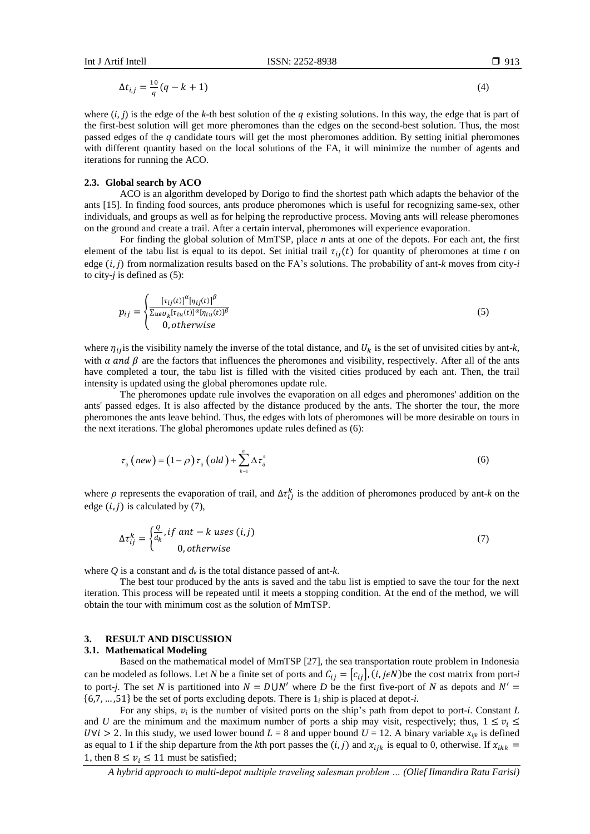$\Delta t_{i,j} = \frac{10}{a}$  $\frac{10}{q}(q-k+1)$  (4)

where  $(i, j)$  is the edge of the *k*-th best solution of the q existing solutions. In this way, the edge that is part of the first-best solution will get more pheromones than the edges on the second-best solution. Thus, the most passed edges of the *q* candidate tours will get the most pheromones addition. By setting initial pheromones with different quantity based on the local solutions of the FA, it will minimize the number of agents and iterations for running the ACO.

### **2.3. Global search by ACO**

ACO is an algorithm developed by Dorigo to find the shortest path which adapts the behavior of the ants [15]. In finding food sources, ants produce pheromones which is useful for recognizing same-sex, other individuals, and groups as well as for helping the reproductive process. Moving ants will release pheromones on the ground and create a trail. After a certain interval, pheromones will experience evaporation.

For finding the global solution of MmTSP, place *n* ants at one of the depots. For each ant, the first element of the tabu list is equal to its depot. Set initial trail  $\tau_{ij}(t)$  for quantity of pheromones at time *t* on edge  $(i, j)$  from normalization results based on the FA's solutions. The probability of ant- $k$  moves from city-*i* to city-*j* is defined as (5):

$$
p_{ij} = \begin{cases} \frac{\left[\tau_{ij}(t)\right]^{\alpha} \left[\eta_{ij}(t)\right]^{\beta}}{\sum_{u \in U_k} \left[\tau_{iu}(t)\right]^{\alpha} \left[\eta_{iu}(t)\right]^{\beta}} \\ 0, otherwise \end{cases}
$$
(5)

where  $\eta_{ij}$  is the visibility namely the inverse of the total distance, and  $U_k$  is the set of unvisited cities by ant-*k*, with  $\alpha$  and  $\beta$  are the factors that influences the pheromones and visibility, respectively. After all of the ants have completed a tour, the tabu list is filled with the visited cities produced by each ant. Then, the trail intensity is updated using the global pheromones update rule.

The pheromones update rule involves the evaporation on all edges and pheromones' addition on the ants' passed edges. It is also affected by the distance produced by the ants. The shorter the tour, the more pheromones the ants leave behind. Thus, the edges with lots of pheromones will be more desirable on tours in the next iterations. The global pheromones update rules defined as (6):

$$
\tau_{ij} \left( new \right) = \left( 1 - \rho \right) \tau_{ij} \left( old \right) + \sum_{k=1}^{m} \Delta \tau_{ij}^{k} \tag{6}
$$

where  $\rho$  represents the evaporation of trail, and  $\Delta \tau_{ij}^k$  is the addition of pheromones produced by ant-*k* on the edge  $(i, j)$  is calculated by  $(7)$ ,

$$
\Delta \tau_{ij}^k = \begin{cases} \frac{Q}{d_k}, & \text{if ant} - k \text{ uses } (i, j) \\ 0, & \text{otherwise} \end{cases} \tag{7}
$$

where  $Q$  is a constant and  $d_k$  is the total distance passed of ant-*k*.

The best tour produced by the ants is saved and the tabu list is emptied to save the tour for the next iteration. This process will be repeated until it meets a stopping condition. At the end of the method, we will obtain the tour with minimum cost as the solution of MmTSP.

# **3. RESULT AND DISCUSSION**

#### **3.1. Mathematical Modeling**

Based on the mathematical model of MmTSP [27], the sea transportation route problem in Indonesia can be modeled as follows. Let *N* be a finite set of ports and  $C_{ij} = [c_{ij}], (i, j \in N)$  be the cost matrix from port-*i* to port-*j*. The set *N* is partitioned into  $N = DUN'$  where *D* be the first five-port of *N* as depots and  $N' =$ {6,7, … ,51} be the set of ports excluding depots. There is 1*<sup>i</sup>* ship is placed at depot-*i*.

For any ships,  $v_i$  is the number of visited ports on the ship's path from depot to port-*i*. Constant *L* and *U* are the minimum and the maximum number of ports a ship may visit, respectively; thus,  $1 \le v_i \le$  $U \forall i > 2$ . In this study, we used lower bound  $L = 8$  and upper bound  $U = 12$ . A binary variable  $x_{ijk}$  is defined as equal to 1 if the ship departure from the *k*th port passes the  $(i, j)$  and  $x_{ijk}$  is equal to 0, otherwise. If  $x_{ikk}$ 1, then  $8 \le v_i \le 11$  must be satisfied;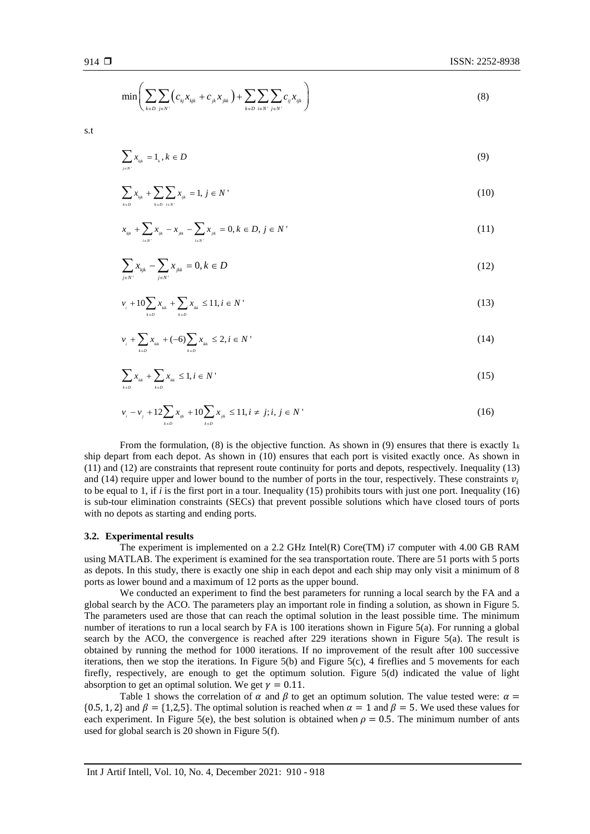$$
\min \Biggl( \sum_{_{k \in D}} \sum_{_{j \in N^{\text{-}}}} \bigl( c_{_{kj}} x_{_{kjk}} + c_{_{jk}} x_{_{jkk}} \bigr) + \sum_{_{k \in D}} \sum_{_{i \in N^{\text{-}}}} \sum_{_{j \in N^{\text{-}}}} c_{_{ij}} x_{_{ijk}} \Biggr)
$$

s.t

$$
\sum_{j \in N} x_{kjk}} = 1_k, k \in D \tag{9}
$$

$$
\sum_{k \in D} x_{_{kk}} + \sum_{k \in D} \sum_{i \in N'} x_{_{ijk}} = 1, j \in N'
$$
\n(10)

$$
x_{\kappa_{ijk}} + \sum_{i \in N'} x_{\kappa_{ijk}} - x_{\kappa_{ijk}} - \sum_{i \in N'} x_{\kappa_{ijk}} = 0, k \in D, j \in N'
$$
\n(11)

$$
\sum_{j \in N'} x_{kjk} - \sum_{j \in N'} x_{jkk} = 0, k \in D
$$
\n(12)

$$
v_{i} + 10\sum_{k \in D} x_{kk} + \sum_{k \in D} x_{kk} \le 11, i \in N
$$
\n(13)

$$
v_{i} + \sum_{k \in D} x_{kk} + (-6) \sum_{k \in D} x_{kk} \le 2, i \in N
$$
\n(14)

$$
\sum_{k \in D} x_{kk} + \sum_{k \in D} x_{kk} \le 1, i \in N
$$
\n(15)

$$
v_{i} - v_{j} + 12 \sum_{k \in D} x_{ijk} + 10 \sum_{k \in D} x_{jk} \le 11, i \ne j; i, j \in N
$$
\n(16)

From the formulation, (8) is the objective function. As shown in (9) ensures that there is exactly  $1_k$ ship depart from each depot. As shown in (10) ensures that each port is visited exactly once. As shown in (11) and (12) are constraints that represent route continuity for ports and depots, respectively. Inequality (13) and (14) require upper and lower bound to the number of ports in the tour, respectively. These constraints  $v_i$ to be equal to 1, if *i* is the first port in a tour. Inequality (15) prohibits tours with just one port. Inequality (16) is sub-tour elimination constraints (SECs) that prevent possible solutions which have closed tours of ports with no depots as starting and ending ports.

#### **3.2. Experimental results**

The experiment is implemented on a 2.2 GHz Intel(R) Core(TM) i7 computer with 4.00 GB RAM using MATLAB. The experiment is examined for the sea transportation route. There are 51 ports with 5 ports as depots. In this study, there is exactly one ship in each depot and each ship may only visit a minimum of 8 ports as lower bound and a maximum of 12 ports as the upper bound.

We conducted an experiment to find the best parameters for running a local search by the FA and a global search by the ACO. The parameters play an important role in finding a solution, as shown in Figure 5. The parameters used are those that can reach the optimal solution in the least possible time. The minimum number of iterations to run a local search by FA is 100 iterations shown in Figure 5(a). For running a global search by the ACO, the convergence is reached after 229 iterations shown in Figure 5(a). The result is obtained by running the method for 1000 iterations. If no improvement of the result after 100 successive iterations, then we stop the iterations. In Figure 5(b) and Figure 5(c), 4 fireflies and 5 movements for each firefly, respectively, are enough to get the optimum solution. Figure 5(d) indicated the value of light absorption to get an optimal solution. We get  $\gamma = 0.11$ .

Table 1 shows the correlation of  $\alpha$  and  $\beta$  to get an optimum solution. The value tested were:  $\alpha$  =  ${0.5, 1, 2}$  and  $\beta = {1,2,5}$ . The optimal solution is reached when  $\alpha = 1$  and  $\beta = 5$ . We used these values for each experiment. In Figure 5(e), the best solution is obtained when  $\rho = 0.5$ . The minimum number of ants used for global search is 20 shown in Figure 5(f).

(8)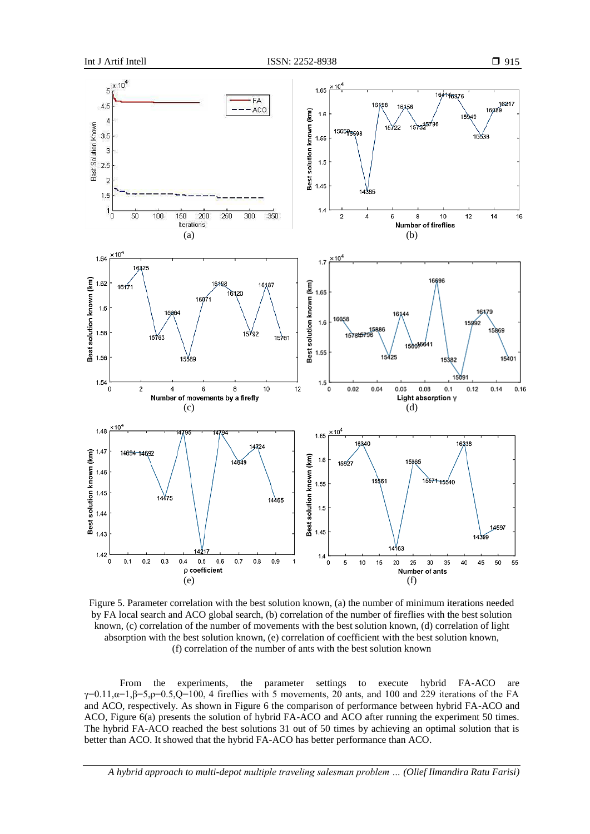

Figure 5. Parameter correlation with the best solution known, (a) the number of minimum iterations needed by FA local search and ACO global search, (b) correlation of the number of fireflies with the best solution known, (c) correlation of the number of movements with the best solution known, (d) correlation of light absorption with the best solution known, (e) correlation of coefficient with the best solution known, (f) correlation of the number of ants with the best solution known

From the experiments, the parameter settings to execute hybrid FA-ACO are  $\gamma=0.11,\alpha=1,\beta=5,\rho=0.5,Q=100,4$  fireflies with 5 movements, 20 ants, and 100 and 229 iterations of the FA and ACO, respectively. As shown in Figure 6 the comparison of performance between hybrid FA-ACO and ACO, Figure 6(a) presents the solution of hybrid FA-ACO and ACO after running the experiment 50 times. The hybrid FA-ACO reached the best solutions 31 out of 50 times by achieving an optimal solution that is better than ACO. It showed that the hybrid FA-ACO has better performance than ACO.

*A hybrid approach to multi-depot multiple traveling salesman problem … (Olief Ilmandira Ratu Farisi)*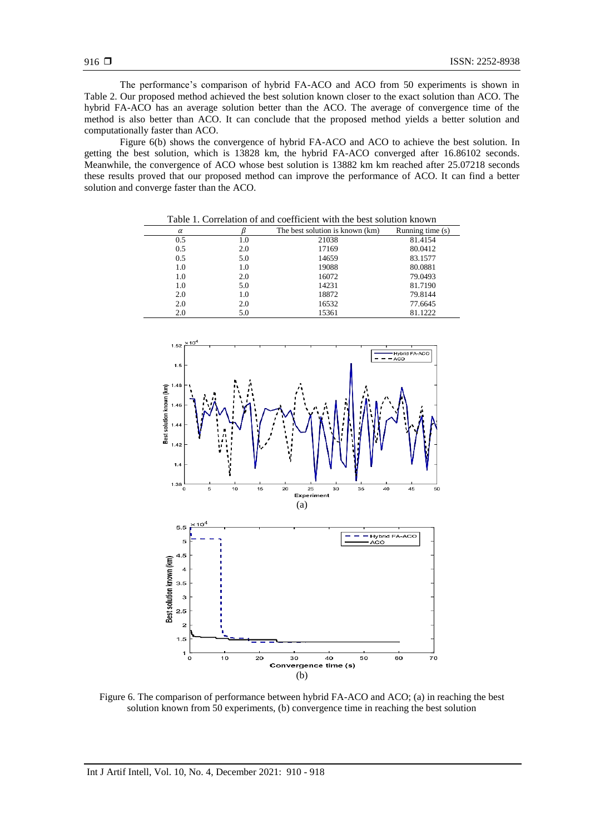The performance's comparison of hybrid FA-ACO and ACO from 50 experiments is shown in Table 2. Our proposed method achieved the best solution known closer to the exact solution than ACO. The hybrid FA-ACO has an average solution better than the ACO. The average of convergence time of the method is also better than ACO. It can conclude that the proposed method yields a better solution and computationally faster than ACO.

Figure 6(b) shows the convergence of hybrid FA-ACO and ACO to achieve the best solution. In getting the best solution, which is 13828 km, the hybrid FA-ACO converged after 16.86102 seconds. Meanwhile, the convergence of ACO whose best solution is 13882 km km reached after 25.07218 seconds these results proved that our proposed method can improve the performance of ACO. It can find a better solution and converge faster than the ACO.

| Table 1. Correlation of and coefficient with the best solution known |     |                                 |                    |  |  |  |
|----------------------------------------------------------------------|-----|---------------------------------|--------------------|--|--|--|
| $\alpha$                                                             |     | The best solution is known (km) | Running time $(s)$ |  |  |  |
| 0.5                                                                  | 1.0 | 21038                           | 81.4154            |  |  |  |
| 0.5                                                                  | 2.0 | 17169                           | 80.0412            |  |  |  |
| 0.5                                                                  | 5.0 | 14659                           | 83.1577            |  |  |  |
| 1.0                                                                  | 1.0 | 19088                           | 80.0881            |  |  |  |
| 1.0                                                                  | 2.0 | 16072                           | 79.0493            |  |  |  |
| 1.0                                                                  | 5.0 | 14231                           | 81.7190            |  |  |  |
| 2.0                                                                  | 1.0 | 18872                           | 79.8144            |  |  |  |
| 2.0                                                                  | 2.0 | 16532                           | 77.6645            |  |  |  |
| 2.0                                                                  | 5.0 | 15361                           | 81.1222            |  |  |  |



Figure 6. The comparison of performance between hybrid FA-ACO and ACO; (a) in reaching the best solution known from 50 experiments, (b) convergence time in reaching the best solution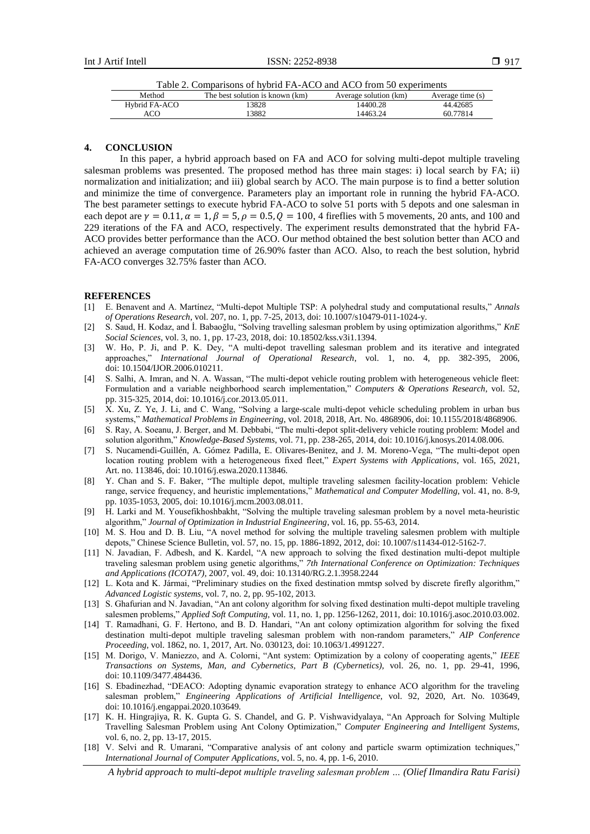Table 2. Comparisons of hybrid FA-ACO and ACO from 50 experiments

| Method        | The best solution is known (km) | Average solution (km) | Average time (s) |
|---------------|---------------------------------|-----------------------|------------------|
| Hybrid FA-ACO | 3828                            | 14400.28              | 44.42685         |
| ACO           | 3882                            | 14463.24              | 60.77814         |

# **4. CONCLUSION**

In this paper, a hybrid approach based on FA and ACO for solving multi-depot multiple traveling salesman problems was presented. The proposed method has three main stages: i) local search by FA; ii) normalization and initialization; and iii) global search by ACO. The main purpose is to find a better solution and minimize the time of convergence. Parameters play an important role in running the hybrid FA-ACO. The best parameter settings to execute hybrid FA-ACO to solve 51 ports with 5 depots and one salesman in each depot are  $\gamma = 0.11$ ,  $\alpha = 1$ ,  $\beta = 5$ ,  $\rho = 0.5$ ,  $\dot{Q} = 100$ , 4 fireflies with 5 movements, 20 ants, and 100 and 229 iterations of the FA and ACO, respectively. The experiment results demonstrated that the hybrid FA-ACO provides better performance than the ACO. Our method obtained the best solution better than ACO and achieved an average computation time of 26.90% faster than ACO. Also, to reach the best solution, hybrid FA-ACO converges 32.75% faster than ACO.

#### **REFERENCES**

- [1] E. Benavent and A. Martínez, "Multi-depot Multiple TSP: A polyhedral study and computational results," *Annals of Operations Research*, vol. 207, no. 1, pp. 7-25, 2013, doi: 10.1007/s10479-011-1024-y.
- [2] S. Saud, H. Kodaz, and İ. Babaoğlu, "Solving travelling salesman problem by using optimization algorithms," *KnE Social Sciences*, vol. 3, no. 1, pp. 17-23, 2018, doi: 10.18502/kss.v3i1.1394.
- [3] W. Ho, P. Ji, and P. K. Dey, "A multi-depot travelling salesman problem and its iterative and integrated approaches," *International Journal of Operational Research*, vol. 1, no. 4, pp. 382-395, 2006, doi: 10.1504/IJOR.2006.010211.
- [4] S. Salhi, A. Imran, and N. A. Wassan, "The multi-depot vehicle routing problem with heterogeneous vehicle fleet: Formulation and a variable neighborhood search implementation," *Computers & Operations Research*, vol. 52, pp. 315-325, 2014, doi: 10.1016/j.cor.2013.05.011.
- [5] X. Xu, Z. Ye, J. Li, and C. Wang, "Solving a large-scale multi-depot vehicle scheduling problem in urban bus systems," *Mathematical Problems in Engineering*, vol. 2018, 2018, Art. No. 4868906, doi: 10.1155/2018/4868906.
- [6] S. Ray, A. Soeanu, J. Berger, and M. Debbabi, "The multi-depot split-delivery vehicle routing problem: Model and solution algorithm," *Knowledge-Based Systems*, vol. 71, pp. 238-265, 2014, doi: 10.1016/j.knosys.2014.08.006.
- [7] S. Nucamendi-Guillén, A. Gómez Padilla, E. Olivares-Benitez, and J. M. Moreno-Vega, "The multi-depot open location routing problem with a heterogeneous fixed fleet," *Expert Systems with Applications*, vol. 165, 2021, Art. no. 113846, doi: 10.1016/j.eswa.2020.113846.
- [8] Y. Chan and S. F. Baker, "The multiple depot, multiple traveling salesmen facility-location problem: Vehicle range, service frequency, and heuristic implementations," *Mathematical and Computer Modelling*, vol. 41, no. 8-9, pp. 1035-1053, 2005, doi: 10.1016/j.mcm.2003.08.011.
- [9] H. Larki and M. Yousefikhoshbakht, "Solving the multiple traveling salesman problem by a novel meta-heuristic algorithm," *Journal of Optimization in Industrial Engineering*, vol. 16, pp. 55-63, 2014.
- [10] M. S. Hou and D. B. Liu, "A novel method for solving the multiple traveling salesmen problem with multiple depots," Chinese Science Bulletin, vol. 57, no. 15, pp. 1886-1892, 2012, doi: 10.1007/s11434-012-5162-7.
- [11] N. Javadian, F. Adbesh, and K. Kardel, "A new approach to solving the fixed destination multi-depot multiple traveling salesman problem using genetic algorithms," *7th International Conference on Optimization: Techniques and Applications (ICOTA7),* 2007, vol. 49, doi: 10.13140/RG.2.1.3958.2244
- [12] L. Kota and K. Jármai, "Preliminary studies on the fixed destination mmtsp solved by discrete firefly algorithm," *Advanced Logistic systems*, vol. 7, no. 2, pp. 95-102, 2013.
- [13] S. Ghafurian and N. Javadian, "An ant colony algorithm for solving fixed destination multi-depot multiple traveling salesmen problems," *Applied Soft Computing,* vol. 11, no. 1, pp. 1256-1262, 2011, doi: 10.1016/j.asoc.2010.03.002.
- [14] T. Ramadhani, G. F. Hertono, and B. D. Handari, "An ant colony optimization algorithm for solving the fixed destination multi-depot multiple traveling salesman problem with non-random parameters," *AIP Conference Proceeding*, vol. 1862, no. 1, 2017, Art. No. 030123, doi: 10.1063/1.4991227.
- [15] M. Dorigo, V. Maniezzo, and A. Colorni, "Ant system: Optimization by a colony of cooperating agents," *IEEE Transactions on Systems, Man, and Cybernetics, Part B (Cybernetics),* vol. 26, no. 1, pp. 29-41, 1996, doi: 10.1109/3477.484436.
- [16] S. Ebadinezhad, "DEACO: Adopting dynamic evaporation strategy to enhance ACO algorithm for the traveling salesman problem," *Engineering Applications of Artificial Intelligence*, vol. 92, 2020, Art. No. 103649, doi: 10.1016/j.engappai.2020.103649.
- [17] K. H. Hingrajiya, R. K. Gupta G. S. Chandel, and G. P. Vishwavidyalaya, "An Approach for Solving Multiple Travelling Salesman Problem using Ant Colony Optimization," *Computer Engineering and Intelligent Systems*, vol. 6, no. 2, pp. 13-17, 2015.
- [18] V. Selvi and R. Umarani, "Comparative analysis of ant colony and particle swarm optimization techniques," *International Journal of Computer Applications*, vol. 5, no. 4, pp. 1-6, 2010.

*A hybrid approach to multi-depot multiple traveling salesman problem … (Olief Ilmandira Ratu Farisi)*